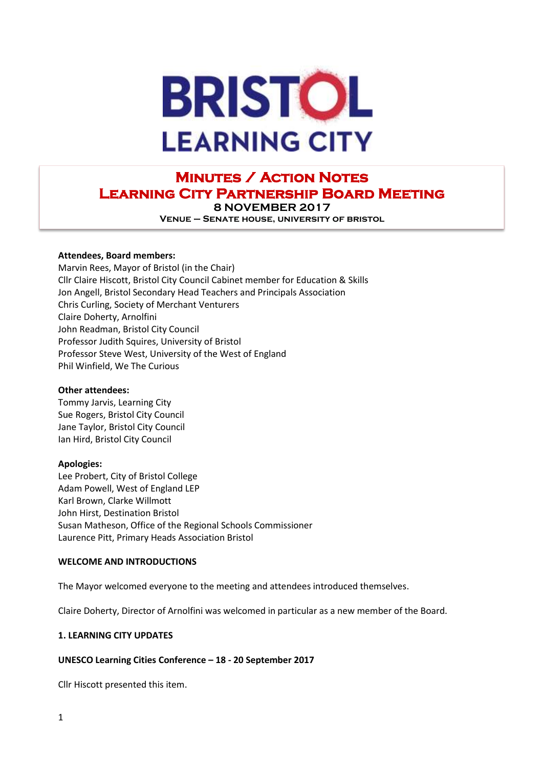

# **Minutes / Action Notes Learning City Partnership Board Meeting 8 NOVEMBER 2017**

**Venue – Senate house, university of bristol**

#### **Attendees, Board members:**

Marvin Rees, Mayor of Bristol (in the Chair) Cllr Claire Hiscott, Bristol City Council Cabinet member for Education & Skills Jon Angell, Bristol Secondary Head Teachers and Principals Association Chris Curling, Society of Merchant Venturers Claire Doherty, Arnolfini John Readman, Bristol City Council Professor Judith Squires, University of Bristol Professor Steve West, University of the West of England Phil Winfield, We The Curious

#### **Other attendees:**

Tommy Jarvis, Learning City Sue Rogers, Bristol City Council Jane Taylor, Bristol City Council Ian Hird, Bristol City Council

#### **Apologies:**

Lee Probert, City of Bristol College Adam Powell, West of England LEP Karl Brown, Clarke Willmott John Hirst, Destination Bristol Susan Matheson, Office of the Regional Schools Commissioner Laurence Pitt, Primary Heads Association Bristol

#### **WELCOME AND INTRODUCTIONS**

The Mayor welcomed everyone to the meeting and attendees introduced themselves.

Claire Doherty, Director of Arnolfini was welcomed in particular as a new member of the Board.

# **1. LEARNING CITY UPDATES**

# **UNESCO Learning Cities Conference – 18 - 20 September 2017**

Cllr Hiscott presented this item.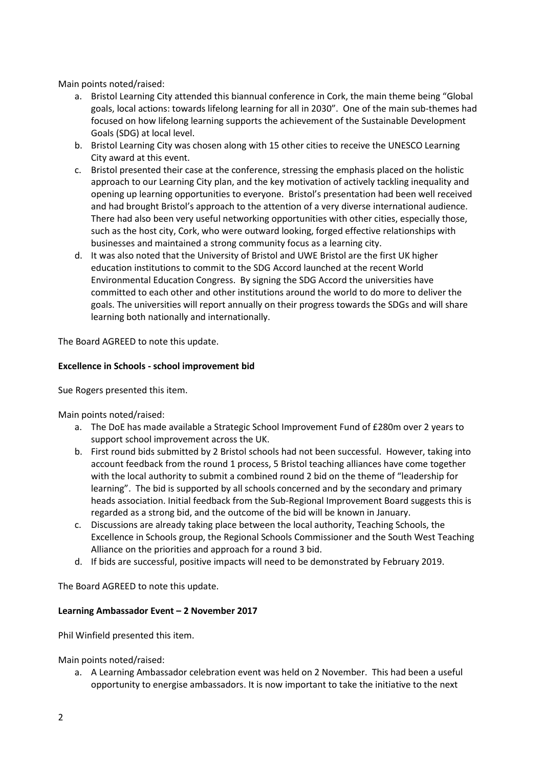Main points noted/raised:

- a. Bristol Learning City attended this biannual conference in Cork, the main theme being "Global goals, local actions: towards lifelong learning for all in 2030". One of the main sub-themes had focused on how lifelong learning supports the achievement of the Sustainable Development Goals (SDG) at local level.
- b. Bristol Learning City was chosen along with 15 other cities to receive the UNESCO Learning City award at this event.
- c. Bristol presented their case at the conference, stressing the emphasis placed on the holistic approach to our Learning City plan, and the key motivation of actively tackling inequality and opening up learning opportunities to everyone. Bristol's presentation had been well received and had brought Bristol's approach to the attention of a very diverse international audience. There had also been very useful networking opportunities with other cities, especially those, such as the host city, Cork, who were outward looking, forged effective relationships with businesses and maintained a strong community focus as a learning city.
- d. It was also noted that the University of Bristol and UWE Bristol are the first UK higher education institutions to commit to the SDG Accord launched at the recent World Environmental Education Congress. By signing the SDG Accord the universities have committed to each other and other institutions around the world to do more to deliver the goals. The universities will report annually on their progress towards the SDGs and will share learning both nationally and internationally.

The Board AGREED to note this update.

### **Excellence in Schools - school improvement bid**

Sue Rogers presented this item.

Main points noted/raised:

- a. The DoE has made available a Strategic School Improvement Fund of £280m over 2 years to support school improvement across the UK.
- b. First round bids submitted by 2 Bristol schools had not been successful. However, taking into account feedback from the round 1 process, 5 Bristol teaching alliances have come together with the local authority to submit a combined round 2 bid on the theme of "leadership for learning". The bid is supported by all schools concerned and by the secondary and primary heads association. Initial feedback from the Sub-Regional Improvement Board suggests this is regarded as a strong bid, and the outcome of the bid will be known in January.
- c. Discussions are already taking place between the local authority, Teaching Schools, the Excellence in Schools group, the Regional Schools Commissioner and the South West Teaching Alliance on the priorities and approach for a round 3 bid.
- d. If bids are successful, positive impacts will need to be demonstrated by February 2019.

The Board AGREED to note this update.

#### **Learning Ambassador Event – 2 November 2017**

Phil Winfield presented this item.

Main points noted/raised:

a. A Learning Ambassador celebration event was held on 2 November. This had been a useful opportunity to energise ambassadors. It is now important to take the initiative to the next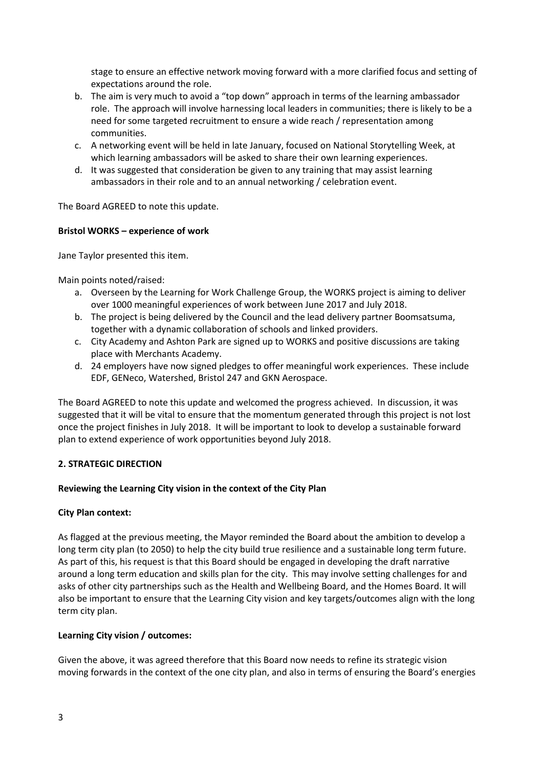stage to ensure an effective network moving forward with a more clarified focus and setting of expectations around the role.

- b. The aim is very much to avoid a "top down" approach in terms of the learning ambassador role. The approach will involve harnessing local leaders in communities; there is likely to be a need for some targeted recruitment to ensure a wide reach / representation among communities.
- c. A networking event will be held in late January, focused on National Storytelling Week, at which learning ambassadors will be asked to share their own learning experiences.
- d. It was suggested that consideration be given to any training that may assist learning ambassadors in their role and to an annual networking / celebration event.

The Board AGREED to note this update.

### **Bristol WORKS – experience of work**

Jane Taylor presented this item.

Main points noted/raised:

- a. Overseen by the Learning for Work Challenge Group, the WORKS project is aiming to deliver over 1000 meaningful experiences of work between June 2017 and July 2018.
- b. The project is being delivered by the Council and the lead delivery partner Boomsatsuma, together with a dynamic collaboration of schools and linked providers.
- c. City Academy and Ashton Park are signed up to WORKS and positive discussions are taking place with Merchants Academy.
- d. 24 employers have now signed pledges to offer meaningful work experiences. These include EDF, GENeco, Watershed, Bristol 247 and GKN Aerospace.

The Board AGREED to note this update and welcomed the progress achieved. In discussion, it was suggested that it will be vital to ensure that the momentum generated through this project is not lost once the project finishes in July 2018. It will be important to look to develop a sustainable forward plan to extend experience of work opportunities beyond July 2018.

# **2. STRATEGIC DIRECTION**

# **Reviewing the Learning City vision in the context of the City Plan**

#### **City Plan context:**

As flagged at the previous meeting, the Mayor reminded the Board about the ambition to develop a long term city plan (to 2050) to help the city build true resilience and a sustainable long term future. As part of this, his request is that this Board should be engaged in developing the draft narrative around a long term education and skills plan for the city. This may involve setting challenges for and asks of other city partnerships such as the Health and Wellbeing Board, and the Homes Board. It will also be important to ensure that the Learning City vision and key targets/outcomes align with the long term city plan.

# **Learning City vision / outcomes:**

Given the above, it was agreed therefore that this Board now needs to refine its strategic vision moving forwards in the context of the one city plan, and also in terms of ensuring the Board's energies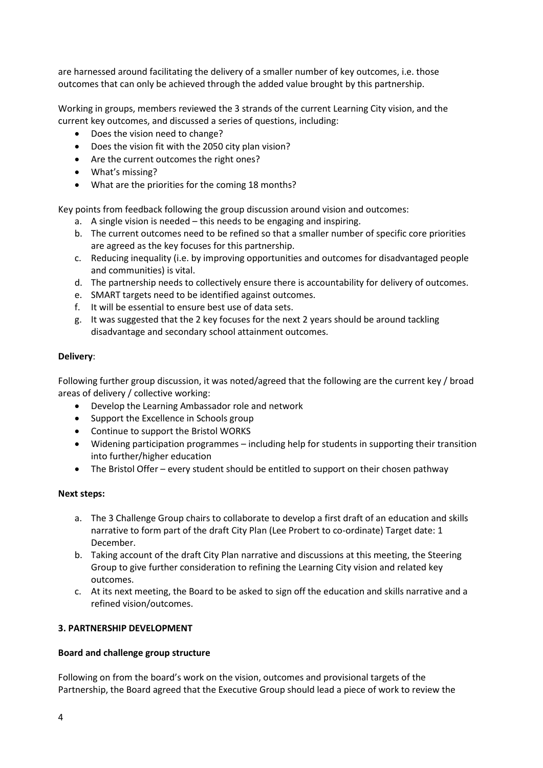are harnessed around facilitating the delivery of a smaller number of key outcomes, i.e. those outcomes that can only be achieved through the added value brought by this partnership.

Working in groups, members reviewed the 3 strands of the current Learning City vision, and the current key outcomes, and discussed a series of questions, including:

- Does the vision need to change?
- Does the vision fit with the 2050 city plan vision?
- Are the current outcomes the right ones?
- What's missing?
- What are the priorities for the coming 18 months?

Key points from feedback following the group discussion around vision and outcomes:

- a. A single vision is needed this needs to be engaging and inspiring.
- b. The current outcomes need to be refined so that a smaller number of specific core priorities are agreed as the key focuses for this partnership.
- c. Reducing inequality (i.e. by improving opportunities and outcomes for disadvantaged people and communities) is vital.
- d. The partnership needs to collectively ensure there is accountability for delivery of outcomes.
- e. SMART targets need to be identified against outcomes.
- f. It will be essential to ensure best use of data sets.
- g. It was suggested that the 2 key focuses for the next 2 years should be around tackling disadvantage and secondary school attainment outcomes.

### **Delivery**:

Following further group discussion, it was noted/agreed that the following are the current key / broad areas of delivery / collective working:

- Develop the Learning Ambassador role and network
- Support the Excellence in Schools group
- Continue to support the Bristol WORKS
- Widening participation programmes including help for students in supporting their transition into further/higher education
- The Bristol Offer every student should be entitled to support on their chosen pathway

# **Next steps:**

- a. The 3 Challenge Group chairs to collaborate to develop a first draft of an education and skills narrative to form part of the draft City Plan (Lee Probert to co-ordinate) Target date: 1 December.
- b. Taking account of the draft City Plan narrative and discussions at this meeting, the Steering Group to give further consideration to refining the Learning City vision and related key outcomes.
- c. At its next meeting, the Board to be asked to sign off the education and skills narrative and a refined vision/outcomes.

# **3. PARTNERSHIP DEVELOPMENT**

# **Board and challenge group structure**

Following on from the board's work on the vision, outcomes and provisional targets of the Partnership, the Board agreed that the Executive Group should lead a piece of work to review the